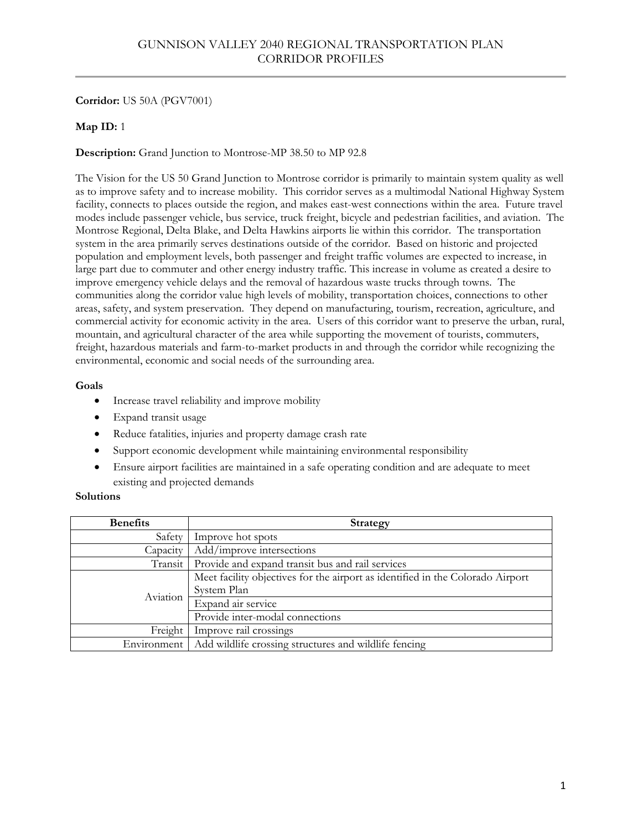# **Corridor:** US 50A (PGV7001)

# **Map ID:** 1

# **Description:** Grand Junction to Montrose-MP 38.50 to MP 92.8

The Vision for the US 50 Grand Junction to Montrose corridor is primarily to maintain system quality as well as to improve safety and to increase mobility. This corridor serves as a multimodal National Highway System facility, connects to places outside the region, and makes east-west connections within the area. Future travel modes include passenger vehicle, bus service, truck freight, bicycle and pedestrian facilities, and aviation. The Montrose Regional, Delta Blake, and Delta Hawkins airports lie within this corridor. The transportation system in the area primarily serves destinations outside of the corridor. Based on historic and projected population and employment levels, both passenger and freight traffic volumes are expected to increase, in large part due to commuter and other energy industry traffic. This increase in volume as created a desire to improve emergency vehicle delays and the removal of hazardous waste trucks through towns. The communities along the corridor value high levels of mobility, transportation choices, connections to other areas, safety, and system preservation. They depend on manufacturing, tourism, recreation, agriculture, and commercial activity for economic activity in the area. Users of this corridor want to preserve the urban, rural, mountain, and agricultural character of the area while supporting the movement of tourists, commuters, freight, hazardous materials and farm-to-market products in and through the corridor while recognizing the environmental, economic and social needs of the surrounding area.

### **Goals**

- Increase travel reliability and improve mobility
- Expand transit usage
- Reduce fatalities, injuries and property damage crash rate
- Support economic development while maintaining environmental responsibility
- Ensure airport facilities are maintained in a safe operating condition and are adequate to meet existing and projected demands

| <b>Benefits</b> | <b>Strategy</b>                                                                               |
|-----------------|-----------------------------------------------------------------------------------------------|
| Safety          | Improve hot spots                                                                             |
| Capacity        | Add/improve intersections                                                                     |
| Transit         | Provide and expand transit bus and rail services                                              |
| Aviation        | Meet facility objectives for the airport as identified in the Colorado Airport<br>System Plan |
|                 | Expand air service                                                                            |
|                 | Provide inter-modal connections                                                               |
| Freight         | Improve rail crossings                                                                        |
| Environment     | Add wildlife crossing structures and wildlife fencing                                         |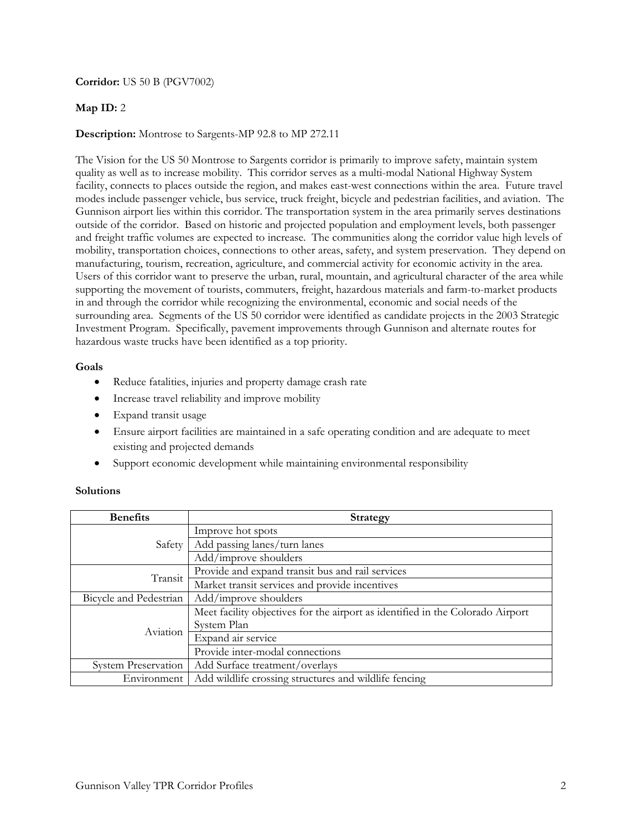### **Corridor:** US 50 B (PGV7002)

### **Map ID:** 2

### **Description:** Montrose to Sargents-MP 92.8 to MP 272.11

The Vision for the US 50 Montrose to Sargents corridor is primarily to improve safety, maintain system quality as well as to increase mobility. This corridor serves as a multi-modal National Highway System facility, connects to places outside the region, and makes east-west connections within the area. Future travel modes include passenger vehicle, bus service, truck freight, bicycle and pedestrian facilities, and aviation. The Gunnison airport lies within this corridor. The transportation system in the area primarily serves destinations outside of the corridor. Based on historic and projected population and employment levels, both passenger and freight traffic volumes are expected to increase. The communities along the corridor value high levels of mobility, transportation choices, connections to other areas, safety, and system preservation. They depend on manufacturing, tourism, recreation, agriculture, and commercial activity for economic activity in the area. Users of this corridor want to preserve the urban, rural, mountain, and agricultural character of the area while supporting the movement of tourists, commuters, freight, hazardous materials and farm-to-market products in and through the corridor while recognizing the environmental, economic and social needs of the surrounding area. Segments of the US 50 corridor were identified as candidate projects in the 2003 Strategic Investment Program. Specifically, pavement improvements through Gunnison and alternate routes for hazardous waste trucks have been identified as a top priority.

#### **Goals**

- Reduce fatalities, injuries and property damage crash rate
- Increase travel reliability and improve mobility
- Expand transit usage
- Ensure airport facilities are maintained in a safe operating condition and are adequate to meet existing and projected demands
- Support economic development while maintaining environmental responsibility

| <b>Benefits</b>            | <b>Strategy</b>                                                                |
|----------------------------|--------------------------------------------------------------------------------|
| Safety                     | Improve hot spots                                                              |
|                            | Add passing lanes/turn lanes                                                   |
|                            | Add/improve shoulders                                                          |
| Transit                    | Provide and expand transit bus and rail services                               |
|                            | Market transit services and provide incentives                                 |
| Bicycle and Pedestrian     | Add/improve shoulders                                                          |
|                            | Meet facility objectives for the airport as identified in the Colorado Airport |
| Aviation                   | System Plan                                                                    |
|                            | Expand air service                                                             |
|                            | Provide inter-modal connections                                                |
| <b>System Preservation</b> | Add Surface treatment/overlays                                                 |
| Environment                | Add wildlife crossing structures and wildlife fencing                          |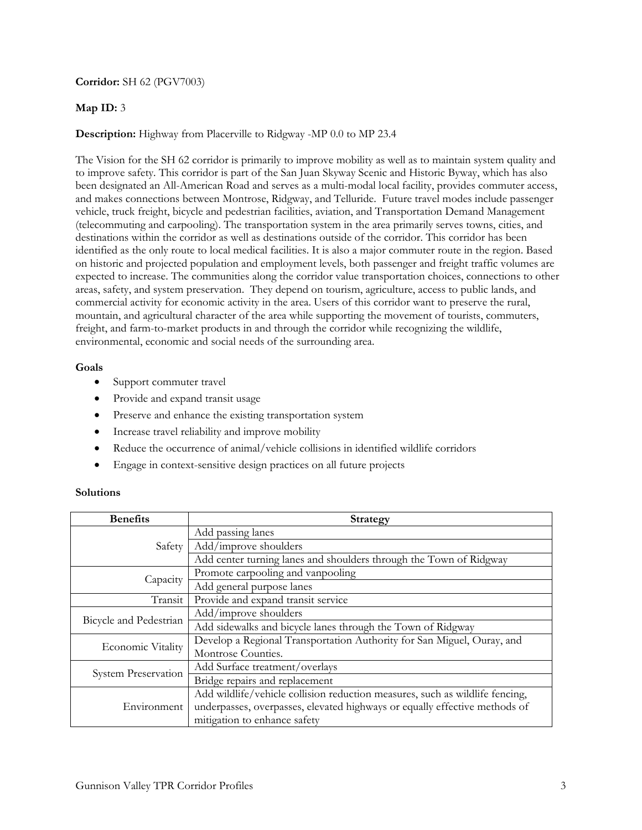## **Corridor:** SH 62 (PGV7003)

# **Map ID:** 3

# **Description:** Highway from Placerville to Ridgway -MP 0.0 to MP 23.4

The Vision for the SH 62 corridor is primarily to improve mobility as well as to maintain system quality and to improve safety. This corridor is part of the San Juan Skyway Scenic and Historic Byway, which has also been designated an All-American Road and serves as a multi-modal local facility, provides commuter access, and makes connections between Montrose, Ridgway, and Telluride. Future travel modes include passenger vehicle, truck freight, bicycle and pedestrian facilities, aviation, and Transportation Demand Management (telecommuting and carpooling). The transportation system in the area primarily serves towns, cities, and destinations within the corridor as well as destinations outside of the corridor. This corridor has been identified as the only route to local medical facilities. It is also a major commuter route in the region. Based on historic and projected population and employment levels, both passenger and freight traffic volumes are expected to increase. The communities along the corridor value transportation choices, connections to other areas, safety, and system preservation. They depend on tourism, agriculture, access to public lands, and commercial activity for economic activity in the area. Users of this corridor want to preserve the rural, mountain, and agricultural character of the area while supporting the movement of tourists, commuters, freight, and farm-to-market products in and through the corridor while recognizing the wildlife, environmental, economic and social needs of the surrounding area.

### **Goals**

- Support commuter travel
- Provide and expand transit usage
- Preserve and enhance the existing transportation system
- Increase travel reliability and improve mobility
- Reduce the occurrence of animal/vehicle collisions in identified wildlife corridors
- Engage in context-sensitive design practices on all future projects

| <b>Benefits</b>            | <b>Strategy</b>                                                              |
|----------------------------|------------------------------------------------------------------------------|
|                            | Add passing lanes                                                            |
| Safety                     | Add/improve shoulders                                                        |
|                            | Add center turning lanes and shoulders through the Town of Ridgway           |
|                            | Promote carpooling and vanpooling                                            |
| Capacity                   | Add general purpose lanes                                                    |
| Transit                    | Provide and expand transit service                                           |
| Bicycle and Pedestrian     | Add/improve shoulders                                                        |
|                            | Add sidewalks and bicycle lanes through the Town of Ridgway                  |
| <b>Economic Vitality</b>   | Develop a Regional Transportation Authority for San Miguel, Ouray, and       |
|                            | Montrose Counties.                                                           |
|                            | Add Surface treatment/overlays                                               |
| <b>System Preservation</b> | Bridge repairs and replacement                                               |
| Environment                | Add wildlife/vehicle collision reduction measures, such as wildlife fencing, |
|                            | underpasses, overpasses, elevated highways or equally effective methods of   |
|                            | mitigation to enhance safety                                                 |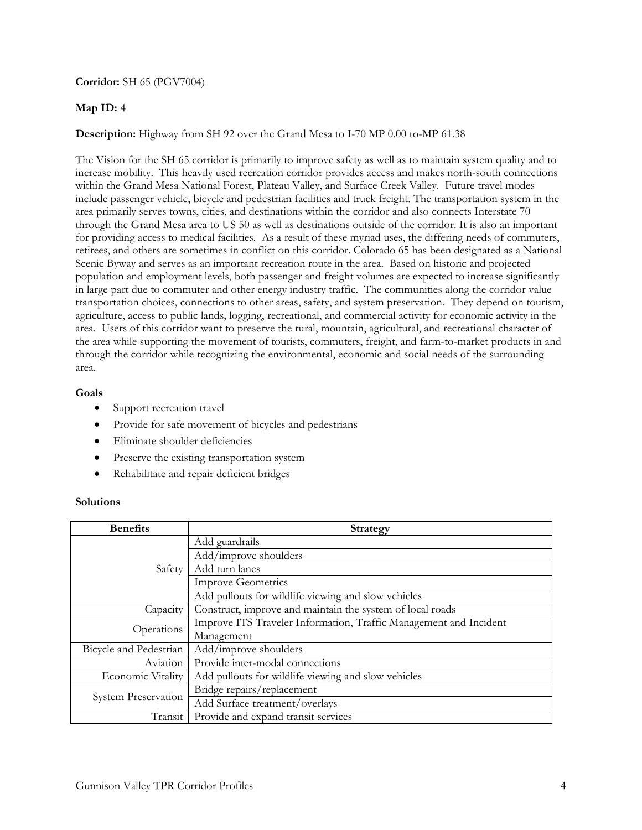### **Corridor:** SH 65 (PGV7004)

### **Map ID:** 4

### **Description:** Highway from SH 92 over the Grand Mesa to I-70 MP 0.00 to-MP 61.38

The Vision for the SH 65 corridor is primarily to improve safety as well as to maintain system quality and to increase mobility. This heavily used recreation corridor provides access and makes north-south connections within the Grand Mesa National Forest, Plateau Valley, and Surface Creek Valley. Future travel modes include passenger vehicle, bicycle and pedestrian facilities and truck freight. The transportation system in the area primarily serves towns, cities, and destinations within the corridor and also connects Interstate 70 through the Grand Mesa area to US 50 as well as destinations outside of the corridor. It is also an important for providing access to medical facilities. As a result of these myriad uses, the differing needs of commuters, retirees, and others are sometimes in conflict on this corridor. Colorado 65 has been designated as a National Scenic Byway and serves as an important recreation route in the area. Based on historic and projected population and employment levels, both passenger and freight volumes are expected to increase significantly in large part due to commuter and other energy industry traffic. The communities along the corridor value transportation choices, connections to other areas, safety, and system preservation. They depend on tourism, agriculture, access to public lands, logging, recreational, and commercial activity for economic activity in the area. Users of this corridor want to preserve the rural, mountain, agricultural, and recreational character of the area while supporting the movement of tourists, commuters, freight, and farm-to-market products in and through the corridor while recognizing the environmental, economic and social needs of the surrounding area.

#### **Goals**

- Support recreation travel
- Provide for safe movement of bicycles and pedestrians
- Eliminate shoulder deficiencies
- Preserve the existing transportation system
- Rehabilitate and repair deficient bridges

| <b>Benefits</b>          | Strategy                                                          |
|--------------------------|-------------------------------------------------------------------|
| Safety                   | Add guardrails                                                    |
|                          | Add/improve shoulders                                             |
|                          | Add turn lanes                                                    |
|                          | <b>Improve Geometrics</b>                                         |
|                          | Add pullouts for wildlife viewing and slow vehicles               |
| Capacity                 | Construct, improve and maintain the system of local roads         |
| Operations               | Improve ITS Traveler Information, Traffic Management and Incident |
|                          | Management                                                        |
| Bicycle and Pedestrian   | Add/improve shoulders                                             |
| Aviation                 | Provide inter-modal connections                                   |
| <b>Economic Vitality</b> | Add pullouts for wildlife viewing and slow vehicles               |
| System Preservation      | Bridge repairs/replacement                                        |
|                          | Add Surface treatment/overlays                                    |
| Transit                  | Provide and expand transit services                               |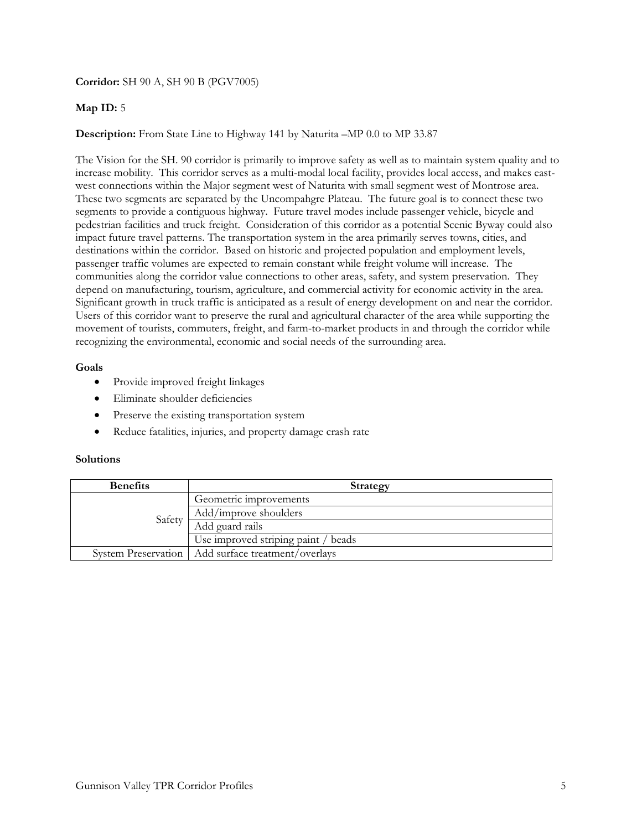### **Corridor:** SH 90 A, SH 90 B (PGV7005)

### **Map ID:** 5

### **Description:** From State Line to Highway 141 by Naturita –MP 0.0 to MP 33.87

The Vision for the SH. 90 corridor is primarily to improve safety as well as to maintain system quality and to increase mobility. This corridor serves as a multi-modal local facility, provides local access, and makes eastwest connections within the Major segment west of Naturita with small segment west of Montrose area. These two segments are separated by the Uncompahgre Plateau. The future goal is to connect these two segments to provide a contiguous highway. Future travel modes include passenger vehicle, bicycle and pedestrian facilities and truck freight. Consideration of this corridor as a potential Scenic Byway could also impact future travel patterns. The transportation system in the area primarily serves towns, cities, and destinations within the corridor. Based on historic and projected population and employment levels, passenger traffic volumes are expected to remain constant while freight volume will increase. The communities along the corridor value connections to other areas, safety, and system preservation. They depend on manufacturing, tourism, agriculture, and commercial activity for economic activity in the area. Significant growth in truck traffic is anticipated as a result of energy development on and near the corridor. Users of this corridor want to preserve the rural and agricultural character of the area while supporting the movement of tourists, commuters, freight, and farm-to-market products in and through the corridor while recognizing the environmental, economic and social needs of the surrounding area.

#### **Goals**

- Provide improved freight linkages
- Eliminate shoulder deficiencies
- Preserve the existing transportation system
- Reduce fatalities, injuries, and property damage crash rate

| <b>Benefits</b> | Strategy                                             |
|-----------------|------------------------------------------------------|
| Safety          | Geometric improvements                               |
|                 | Add/improve shoulders                                |
|                 | Add guard rails                                      |
|                 | Use improved striping paint / beads                  |
|                 | System Preservation   Add surface treatment/overlays |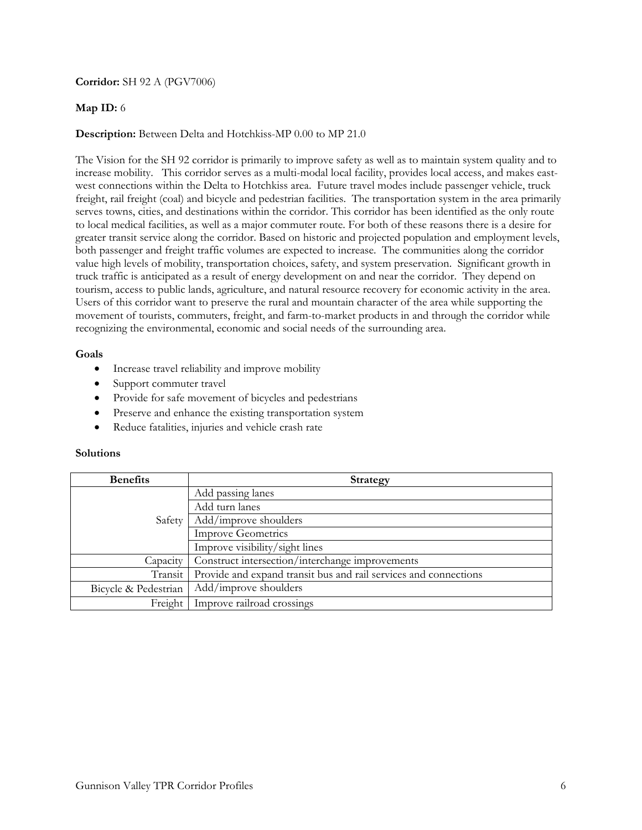### **Corridor:** SH 92 A (PGV7006)

### **Map ID:** 6

### **Description:** Between Delta and Hotchkiss-MP 0.00 to MP 21.0

The Vision for the SH 92 corridor is primarily to improve safety as well as to maintain system quality and to increase mobility. This corridor serves as a multi-modal local facility, provides local access, and makes eastwest connections within the Delta to Hotchkiss area. Future travel modes include passenger vehicle, truck freight, rail freight (coal) and bicycle and pedestrian facilities. The transportation system in the area primarily serves towns, cities, and destinations within the corridor. This corridor has been identified as the only route to local medical facilities, as well as a major commuter route. For both of these reasons there is a desire for greater transit service along the corridor. Based on historic and projected population and employment levels, both passenger and freight traffic volumes are expected to increase. The communities along the corridor value high levels of mobility, transportation choices, safety, and system preservation. Significant growth in truck traffic is anticipated as a result of energy development on and near the corridor. They depend on tourism, access to public lands, agriculture, and natural resource recovery for economic activity in the area. Users of this corridor want to preserve the rural and mountain character of the area while supporting the movement of tourists, commuters, freight, and farm-to-market products in and through the corridor while recognizing the environmental, economic and social needs of the surrounding area.

#### **Goals**

- Increase travel reliability and improve mobility
- Support commuter travel
- Provide for safe movement of bicycles and pedestrians
- Preserve and enhance the existing transportation system
- Reduce fatalities, injuries and vehicle crash rate

| <b>Benefits</b>      | <b>Strategy</b>                                                  |
|----------------------|------------------------------------------------------------------|
| Safety               | Add passing lanes                                                |
|                      | Add turn lanes                                                   |
|                      | Add/improve shoulders                                            |
|                      | <b>Improve Geometrics</b>                                        |
|                      | Improve visibility/sight lines                                   |
| Capacity             | Construct intersection/interchange improvements                  |
| Transit              | Provide and expand transit bus and rail services and connections |
| Bicycle & Pedestrian | Add/improve shoulders                                            |
| Freight              | Improve railroad crossings                                       |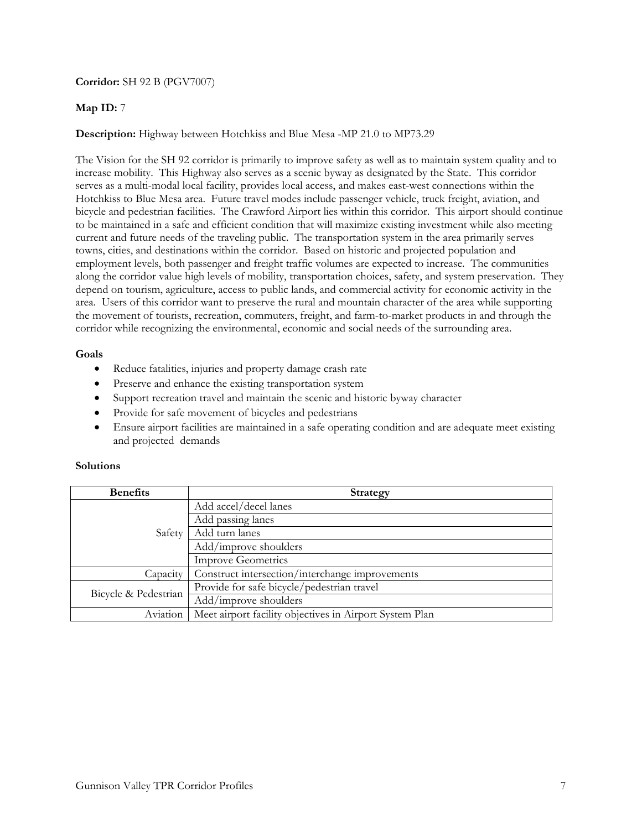### **Corridor:** SH 92 B (PGV7007)

# **Map ID:** 7

# **Description:** Highway between Hotchkiss and Blue Mesa -MP 21.0 to MP73.29

The Vision for the SH 92 corridor is primarily to improve safety as well as to maintain system quality and to increase mobility. This Highway also serves as a scenic byway as designated by the State. This corridor serves as a multi-modal local facility, provides local access, and makes east-west connections within the Hotchkiss to Blue Mesa area. Future travel modes include passenger vehicle, truck freight, aviation, and bicycle and pedestrian facilities. The Crawford Airport lies within this corridor. This airport should continue to be maintained in a safe and efficient condition that will maximize existing investment while also meeting current and future needs of the traveling public. The transportation system in the area primarily serves towns, cities, and destinations within the corridor. Based on historic and projected population and employment levels, both passenger and freight traffic volumes are expected to increase. The communities along the corridor value high levels of mobility, transportation choices, safety, and system preservation. They depend on tourism, agriculture, access to public lands, and commercial activity for economic activity in the area. Users of this corridor want to preserve the rural and mountain character of the area while supporting the movement of tourists, recreation, commuters, freight, and farm-to-market products in and through the corridor while recognizing the environmental, economic and social needs of the surrounding area.

### **Goals**

- Reduce fatalities, injuries and property damage crash rate
- Preserve and enhance the existing transportation system
- Support recreation travel and maintain the scenic and historic byway character
- Provide for safe movement of bicycles and pedestrians
- Ensure airport facilities are maintained in a safe operating condition and are adequate meet existing and projected demands

| <b>Benefits</b>      | <b>Strategy</b>                                         |
|----------------------|---------------------------------------------------------|
| Safety               | Add accel/decel lanes                                   |
|                      | Add passing lanes                                       |
|                      | Add turn lanes                                          |
|                      | Add/improve shoulders                                   |
|                      | <b>Improve Geometrics</b>                               |
| Capacity             | Construct intersection/interchange improvements         |
| Bicycle & Pedestrian | Provide for safe bicycle/pedestrian travel              |
|                      | Add/improve shoulders                                   |
| Aviation             | Meet airport facility objectives in Airport System Plan |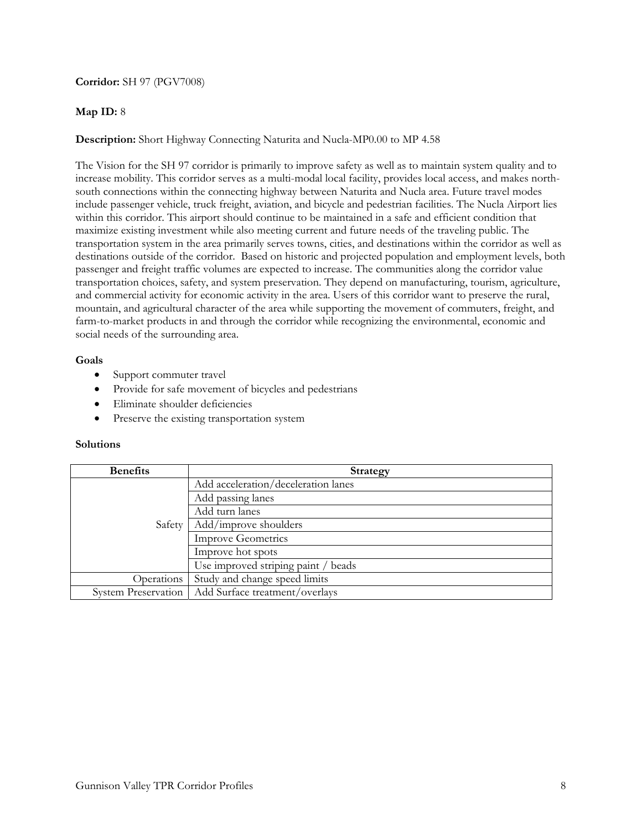# **Corridor:** SH 97 (PGV7008)

# **Map ID:** 8

# **Description:** Short Highway Connecting Naturita and Nucla-MP0.00 to MP 4.58

The Vision for the SH 97 corridor is primarily to improve safety as well as to maintain system quality and to increase mobility. This corridor serves as a multi-modal local facility, provides local access, and makes northsouth connections within the connecting highway between Naturita and Nucla area. Future travel modes include passenger vehicle, truck freight, aviation, and bicycle and pedestrian facilities. The Nucla Airport lies within this corridor. This airport should continue to be maintained in a safe and efficient condition that maximize existing investment while also meeting current and future needs of the traveling public. The transportation system in the area primarily serves towns, cities, and destinations within the corridor as well as destinations outside of the corridor. Based on historic and projected population and employment levels, both passenger and freight traffic volumes are expected to increase. The communities along the corridor value transportation choices, safety, and system preservation. They depend on manufacturing, tourism, agriculture, and commercial activity for economic activity in the area. Users of this corridor want to preserve the rural, mountain, and agricultural character of the area while supporting the movement of commuters, freight, and farm-to-market products in and through the corridor while recognizing the environmental, economic and social needs of the surrounding area.

### **Goals**

- Support commuter travel
- Provide for safe movement of bicycles and pedestrians
- Eliminate shoulder deficiencies
- Preserve the existing transportation system

| <b>Benefits</b>            | <b>Strategy</b>                     |
|----------------------------|-------------------------------------|
| Safety                     | Add acceleration/deceleration lanes |
|                            | Add passing lanes                   |
|                            | Add turn lanes                      |
|                            | Add/improve shoulders               |
|                            | <b>Improve Geometrics</b>           |
|                            | Improve hot spots                   |
|                            | Use improved striping paint / beads |
| Operations                 | Study and change speed limits       |
| <b>System Preservation</b> | Add Surface treatment/overlays      |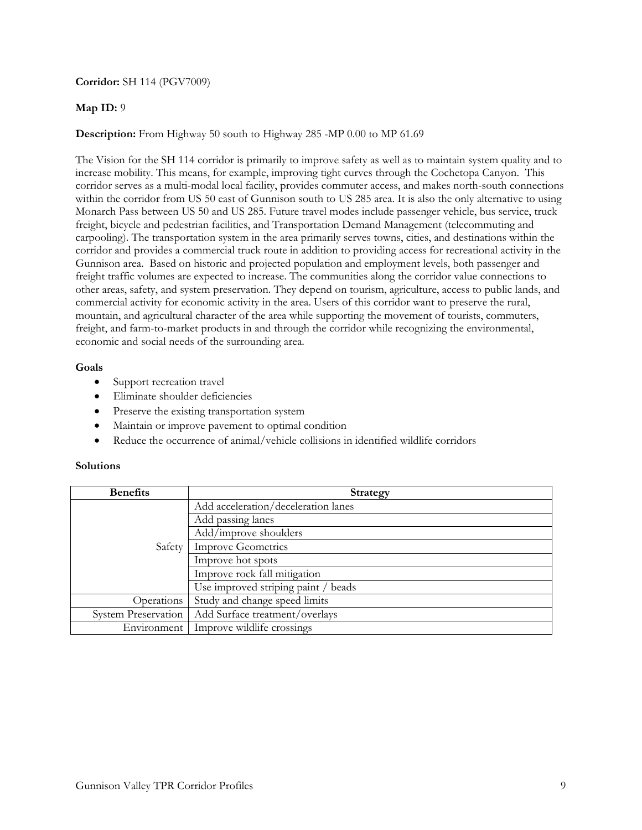### **Corridor:** SH 114 (PGV7009)

# **Map ID:** 9

# **Description:** From Highway 50 south to Highway 285 -MP 0.00 to MP 61.69

The Vision for the SH 114 corridor is primarily to improve safety as well as to maintain system quality and to increase mobility. This means, for example, improving tight curves through the Cochetopa Canyon. This corridor serves as a multi-modal local facility, provides commuter access, and makes north-south connections within the corridor from US 50 east of Gunnison south to US 285 area. It is also the only alternative to using Monarch Pass between US 50 and US 285. Future travel modes include passenger vehicle, bus service, truck freight, bicycle and pedestrian facilities, and Transportation Demand Management (telecommuting and carpooling). The transportation system in the area primarily serves towns, cities, and destinations within the corridor and provides a commercial truck route in addition to providing access for recreational activity in the Gunnison area. Based on historic and projected population and employment levels, both passenger and freight traffic volumes are expected to increase. The communities along the corridor value connections to other areas, safety, and system preservation. They depend on tourism, agriculture, access to public lands, and commercial activity for economic activity in the area. Users of this corridor want to preserve the rural, mountain, and agricultural character of the area while supporting the movement of tourists, commuters, freight, and farm-to-market products in and through the corridor while recognizing the environmental, economic and social needs of the surrounding area.

### **Goals**

- Support recreation travel
- Eliminate shoulder deficiencies
- Preserve the existing transportation system
- Maintain or improve pavement to optimal condition
- Reduce the occurrence of animal/vehicle collisions in identified wildlife corridors

| <b>Benefits</b>            | <b>Strategy</b>                     |
|----------------------------|-------------------------------------|
| Safety                     | Add acceleration/deceleration lanes |
|                            | Add passing lanes                   |
|                            | Add/improve shoulders               |
|                            | <b>Improve Geometrics</b>           |
|                            | Improve hot spots                   |
|                            | Improve rock fall mitigation        |
|                            | Use improved striping paint / beads |
| Operations                 | Study and change speed limits       |
| <b>System Preservation</b> | Add Surface treatment/overlays      |
| Environment                | Improve wildlife crossings          |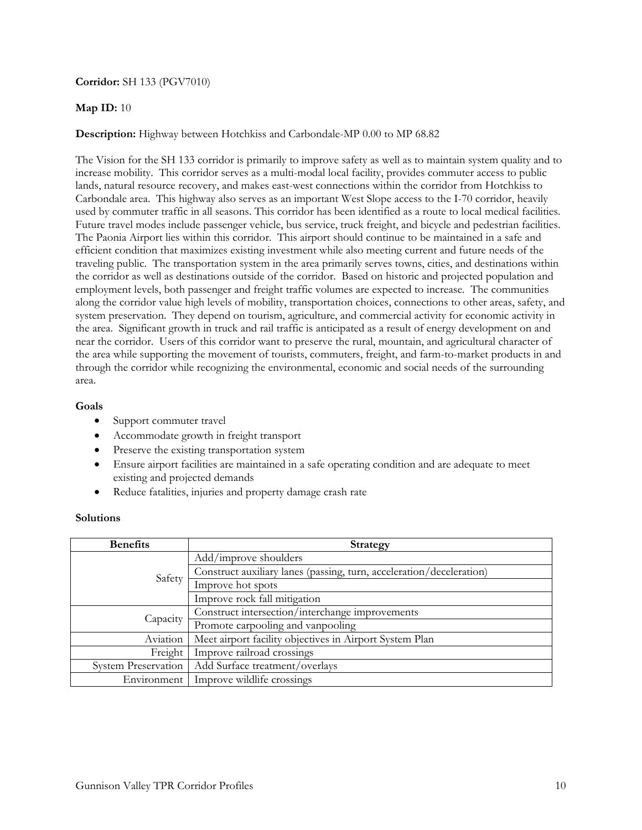### **Corridor:** SH 133 (PGV7010)

#### **Map ID:** 10

### **Description:** Highway between Hotchkiss and Carbondale-MP 0.00 to MP 68.82

The Vision for the SH 133 corridor is primarily to improve safety as well as to maintain system quality and to increase mobility. This corridor serves as a multi-modal local facility, provides commuter access to public lands, natural resource recovery, and makes east-west connections within the corridor from Hotchkiss to Carbondale area. This highway also serves as an important West Slope access to the I-70 corridor, heavily used by commuter traffic in all seasons. This corridor has been identified as a route to local medical facilities. Future travel modes include passenger vehicle, bus service, truck freight, and bicycle and pedestrian facilities. The Paonia Airport lies within this corridor. This airport should continue to be maintained in a safe and efficient condition that maximizes existing investment while also meeting current and future needs of the traveling public. The transportation system in the area primarily serves towns, cities, and destinations within the corridor as well as destinations outside of the corridor. Based on historic and projected population and employment levels, both passenger and freight traffic volumes are expected to increase. The communities along the corridor value high levels of mobility, transportation choices, connections to other areas, safety, and system preservation. They depend on tourism, agriculture, and commercial activity for economic activity in the area. Significant growth in truck and rail traffic is anticipated as a result of energy development on and near the corridor. Users of this corridor want to preserve the rural, mountain, and agricultural character of the area while supporting the movement of tourists, commuters, freight, and farm-to-market products in and through the corridor while recognizing the environmental, economic and social needs of the surrounding area.

### **Goals**

- Support commuter travel
- Accommodate growth in freight transport
- Preserve the existing transportation system
- Ensure airport facilities are maintained in a safe operating condition and are adequate to meet existing and projected demands
- Reduce fatalities, injuries and property damage crash rate

| <b>Benefits</b>            | <b>Strategy</b>                                                      |
|----------------------------|----------------------------------------------------------------------|
| Safety                     | Add/improve shoulders                                                |
|                            | Construct auxiliary lanes (passing, turn, acceleration/deceleration) |
|                            | Improve hot spots                                                    |
|                            | Improve rock fall mitigation                                         |
| Capacity                   | Construct intersection/interchange improvements                      |
|                            | Promote carpooling and vanpooling                                    |
| Aviation                   | Meet airport facility objectives in Airport System Plan              |
| Freight                    | Improve railroad crossings                                           |
| <b>System Preservation</b> | Add Surface treatment/overlays                                       |
| Environment                | Improve wildlife crossings                                           |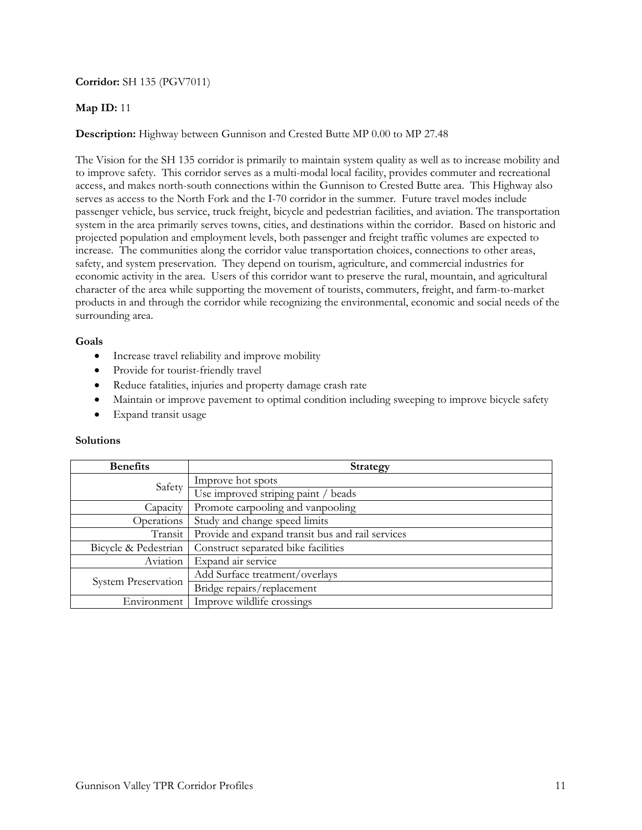## **Corridor:** SH 135 (PGV7011)

# **Map ID:** 11

# **Description:** Highway between Gunnison and Crested Butte MP 0.00 to MP 27.48

The Vision for the SH 135 corridor is primarily to maintain system quality as well as to increase mobility and to improve safety. This corridor serves as a multi-modal local facility, provides commuter and recreational access, and makes north-south connections within the Gunnison to Crested Butte area. This Highway also serves as access to the North Fork and the I-70 corridor in the summer. Future travel modes include passenger vehicle, bus service, truck freight, bicycle and pedestrian facilities, and aviation. The transportation system in the area primarily serves towns, cities, and destinations within the corridor. Based on historic and projected population and employment levels, both passenger and freight traffic volumes are expected to increase. The communities along the corridor value transportation choices, connections to other areas, safety, and system preservation. They depend on tourism, agriculture, and commercial industries for economic activity in the area. Users of this corridor want to preserve the rural, mountain, and agricultural character of the area while supporting the movement of tourists, commuters, freight, and farm-to-market products in and through the corridor while recognizing the environmental, economic and social needs of the surrounding area.

#### **Goals**

- Increase travel reliability and improve mobility
- Provide for tourist-friendly travel
- Reduce fatalities, injuries and property damage crash rate
- Maintain or improve pavement to optimal condition including sweeping to improve bicycle safety
- Expand transit usage

| <b>Benefits</b>            | <b>Strategy</b>                                  |
|----------------------------|--------------------------------------------------|
| Safety                     | Improve hot spots                                |
|                            | Use improved striping paint / beads              |
| Capacity                   | Promote carpooling and vanpooling                |
| Operations                 | Study and change speed limits                    |
| Transit                    | Provide and expand transit bus and rail services |
| Bicycle & Pedestrian       | Construct separated bike facilities              |
| Aviation                   | Expand air service                               |
| <b>System Preservation</b> | Add Surface treatment/overlays                   |
|                            | Bridge repairs/replacement                       |
| Environment                | Improve wildlife crossings                       |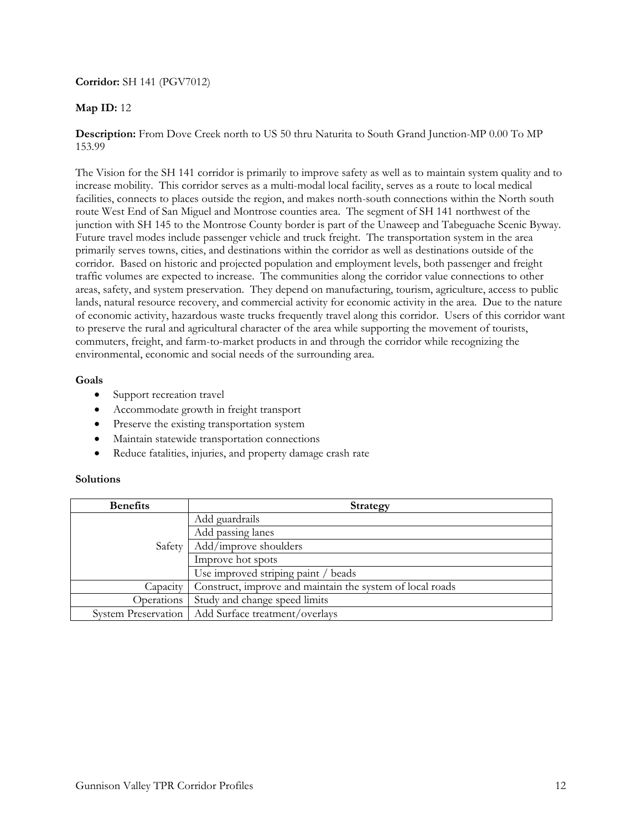## **Corridor:** SH 141 (PGV7012)

# **Map ID:** 12

**Description:** From Dove Creek north to US 50 thru Naturita to South Grand Junction-MP 0.00 To MP 153.99

The Vision for the SH 141 corridor is primarily to improve safety as well as to maintain system quality and to increase mobility. This corridor serves as a multi-modal local facility, serves as a route to local medical facilities, connects to places outside the region, and makes north-south connections within the North south route West End of San Miguel and Montrose counties area. The segment of SH 141 northwest of the junction with SH 145 to the Montrose County border is part of the Unaweep and Tabeguache Scenic Byway. Future travel modes include passenger vehicle and truck freight. The transportation system in the area primarily serves towns, cities, and destinations within the corridor as well as destinations outside of the corridor. Based on historic and projected population and employment levels, both passenger and freight traffic volumes are expected to increase. The communities along the corridor value connections to other areas, safety, and system preservation. They depend on manufacturing, tourism, agriculture, access to public lands, natural resource recovery, and commercial activity for economic activity in the area. Due to the nature of economic activity, hazardous waste trucks frequently travel along this corridor. Users of this corridor want to preserve the rural and agricultural character of the area while supporting the movement of tourists, commuters, freight, and farm-to-market products in and through the corridor while recognizing the environmental, economic and social needs of the surrounding area.

### **Goals**

- Support recreation travel
- Accommodate growth in freight transport
- Preserve the existing transportation system
- Maintain statewide transportation connections
- Reduce fatalities, injuries, and property damage crash rate

| <b>Benefits</b>     | Strategy                                                  |
|---------------------|-----------------------------------------------------------|
| Safety              | Add guardrails                                            |
|                     | Add passing lanes                                         |
|                     | Add/improve shoulders                                     |
|                     | Improve hot spots                                         |
|                     | Use improved striping paint / beads                       |
| Capacity            | Construct, improve and maintain the system of local roads |
| Operations          | Study and change speed limits                             |
| System Preservation | Add Surface treatment/overlays                            |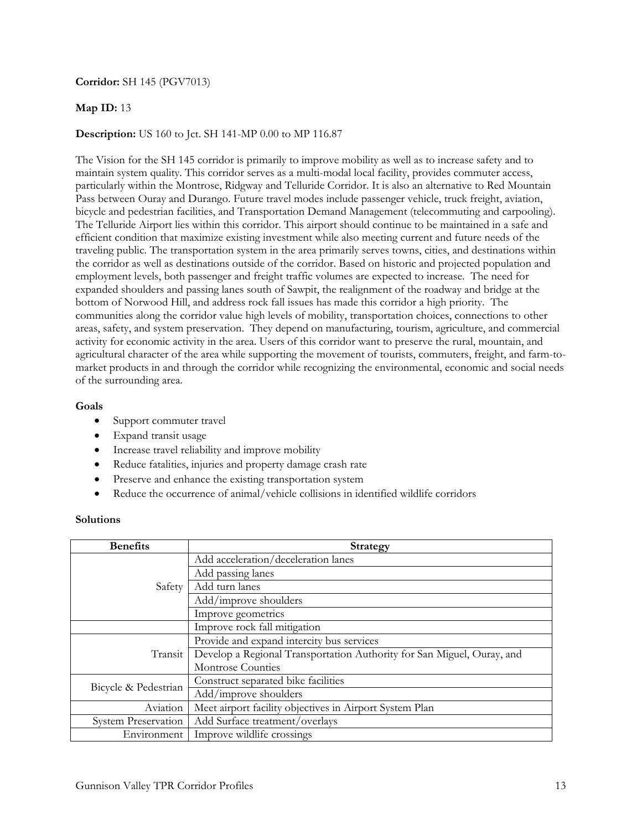### **Corridor:** SH 145 (PGV7013)

### **Map ID:** 13

# **Description:** US 160 to Jct. SH 141-MP 0.00 to MP 116.87

The Vision for the SH 145 corridor is primarily to improve mobility as well as to increase safety and to maintain system quality. This corridor serves as a multi-modal local facility, provides commuter access, particularly within the Montrose, Ridgway and Telluride Corridor. It is also an alternative to Red Mountain Pass between Ouray and Durango. Future travel modes include passenger vehicle, truck freight, aviation, bicycle and pedestrian facilities, and Transportation Demand Management (telecommuting and carpooling). The Telluride Airport lies within this corridor. This airport should continue to be maintained in a safe and efficient condition that maximize existing investment while also meeting current and future needs of the traveling public. The transportation system in the area primarily serves towns, cities, and destinations within the corridor as well as destinations outside of the corridor. Based on historic and projected population and employment levels, both passenger and freight traffic volumes are expected to increase. The need for expanded shoulders and passing lanes south of Sawpit, the realignment of the roadway and bridge at the bottom of Norwood Hill, and address rock fall issues has made this corridor a high priority. The communities along the corridor value high levels of mobility, transportation choices, connections to other areas, safety, and system preservation. They depend on manufacturing, tourism, agriculture, and commercial activity for economic activity in the area. Users of this corridor want to preserve the rural, mountain, and agricultural character of the area while supporting the movement of tourists, commuters, freight, and farm-tomarket products in and through the corridor while recognizing the environmental, economic and social needs of the surrounding area.

### **Goals**

- Support commuter travel
- Expand transit usage
- Increase travel reliability and improve mobility
- Reduce fatalities, injuries and property damage crash rate
- Preserve and enhance the existing transportation system
- Reduce the occurrence of animal/vehicle collisions in identified wildlife corridors

| <b>Benefits</b>            | Strategy                                                               |
|----------------------------|------------------------------------------------------------------------|
| Safety                     | Add acceleration/deceleration lanes                                    |
|                            | Add passing lanes                                                      |
|                            | Add turn lanes                                                         |
|                            | Add/improve shoulders                                                  |
|                            | Improve geometrics                                                     |
|                            | Improve rock fall mitigation                                           |
| Transit                    | Provide and expand intercity bus services                              |
|                            | Develop a Regional Transportation Authority for San Miguel, Ouray, and |
|                            | Montrose Counties                                                      |
| Bicycle & Pedestrian       | Construct separated bike facilities                                    |
|                            | Add/improve shoulders                                                  |
| Aviation                   | Meet airport facility objectives in Airport System Plan                |
| <b>System Preservation</b> | Add Surface treatment/overlays                                         |
| Environment                | Improve wildlife crossings                                             |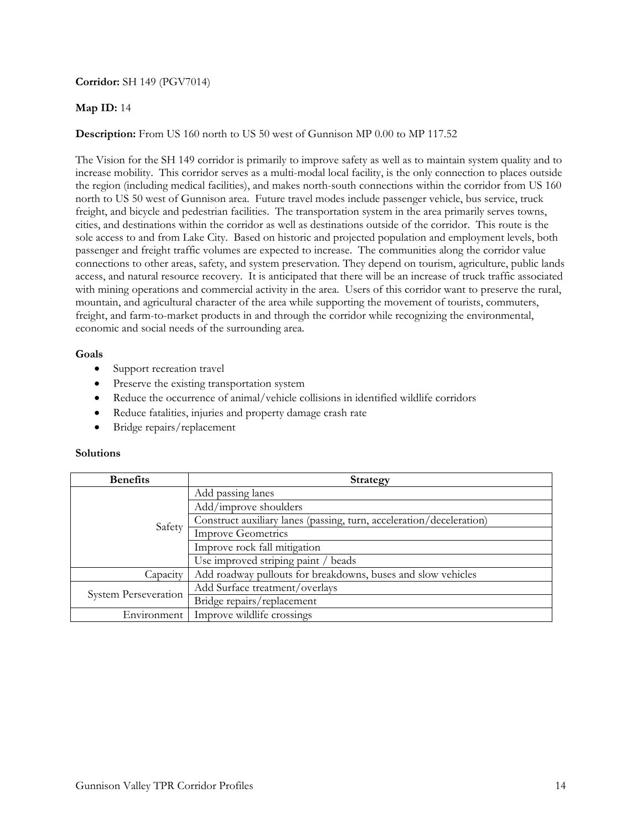## **Corridor:** SH 149 (PGV7014)

## **Map ID:** 14

# **Description:** From US 160 north to US 50 west of Gunnison MP 0.00 to MP 117.52

The Vision for the SH 149 corridor is primarily to improve safety as well as to maintain system quality and to increase mobility. This corridor serves as a multi-modal local facility, is the only connection to places outside the region (including medical facilities), and makes north-south connections within the corridor from US 160 north to US 50 west of Gunnison area. Future travel modes include passenger vehicle, bus service, truck freight, and bicycle and pedestrian facilities. The transportation system in the area primarily serves towns, cities, and destinations within the corridor as well as destinations outside of the corridor. This route is the sole access to and from Lake City. Based on historic and projected population and employment levels, both passenger and freight traffic volumes are expected to increase. The communities along the corridor value connections to other areas, safety, and system preservation. They depend on tourism, agriculture, public lands access, and natural resource recovery. It is anticipated that there will be an increase of truck traffic associated with mining operations and commercial activity in the area. Users of this corridor want to preserve the rural, mountain, and agricultural character of the area while supporting the movement of tourists, commuters, freight, and farm-to-market products in and through the corridor while recognizing the environmental, economic and social needs of the surrounding area.

### **Goals**

- Support recreation travel
- Preserve the existing transportation system
- Reduce the occurrence of animal/vehicle collisions in identified wildlife corridors
- Reduce fatalities, injuries and property damage crash rate
- Bridge repairs/replacement

| <b>Benefits</b>      | <b>Strategy</b>                                                      |
|----------------------|----------------------------------------------------------------------|
| Safety               | Add passing lanes                                                    |
|                      | Add/improve shoulders                                                |
|                      | Construct auxiliary lanes (passing, turn, acceleration/deceleration) |
|                      | <b>Improve Geometrics</b>                                            |
|                      | Improve rock fall mitigation                                         |
|                      | Use improved striping paint / beads                                  |
| Capacity             | Add roadway pullouts for breakdowns, buses and slow vehicles         |
| System Perseveration | Add Surface treatment/overlays                                       |
|                      | Bridge repairs/replacement                                           |
| Environment          | Improve wildlife crossings                                           |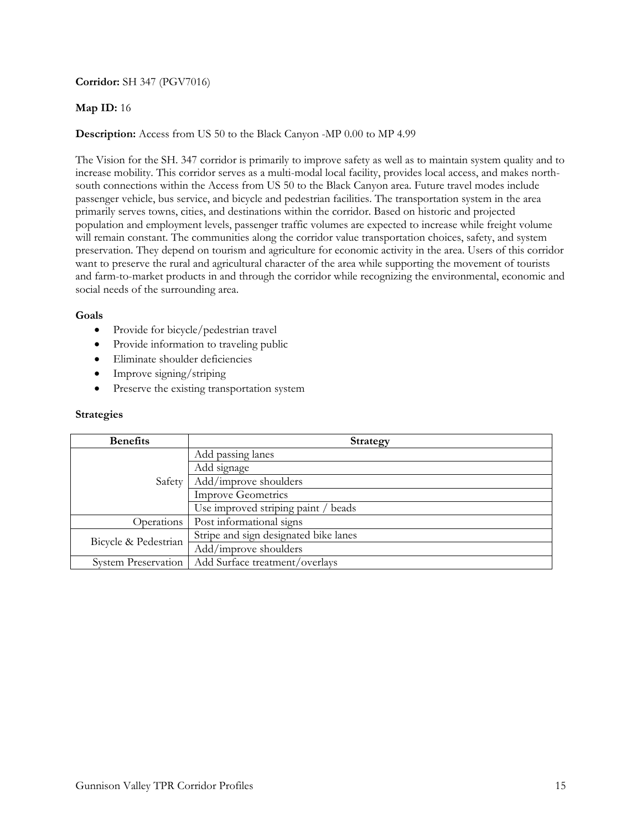# **Corridor:** SH 347 (PGV7016)

### **Map ID:** 16

# **Description:** Access from US 50 to the Black Canyon -MP 0.00 to MP 4.99

The Vision for the SH. 347 corridor is primarily to improve safety as well as to maintain system quality and to increase mobility. This corridor serves as a multi-modal local facility, provides local access, and makes northsouth connections within the Access from US 50 to the Black Canyon area. Future travel modes include passenger vehicle, bus service, and bicycle and pedestrian facilities. The transportation system in the area primarily serves towns, cities, and destinations within the corridor. Based on historic and projected population and employment levels, passenger traffic volumes are expected to increase while freight volume will remain constant. The communities along the corridor value transportation choices, safety, and system preservation. They depend on tourism and agriculture for economic activity in the area. Users of this corridor want to preserve the rural and agricultural character of the area while supporting the movement of tourists and farm-to-market products in and through the corridor while recognizing the environmental, economic and social needs of the surrounding area.

### **Goals**

- Provide for bicycle/pedestrian travel
- Provide information to traveling public
- Eliminate shoulder deficiencies
- Improve signing/striping
- Preserve the existing transportation system

### **Strategies**

| <b>Benefits</b>            | <b>Strategy</b>                       |
|----------------------------|---------------------------------------|
| Safety                     | Add passing lanes                     |
|                            | Add signage                           |
|                            | Add/improve shoulders                 |
|                            | <b>Improve Geometrics</b>             |
|                            | Use improved striping paint / beads   |
| Operations                 | Post informational signs              |
| Bicycle & Pedestrian       | Stripe and sign designated bike lanes |
|                            | Add/improve shoulders                 |
| <b>System Preservation</b> | Add Surface treatment/overlays        |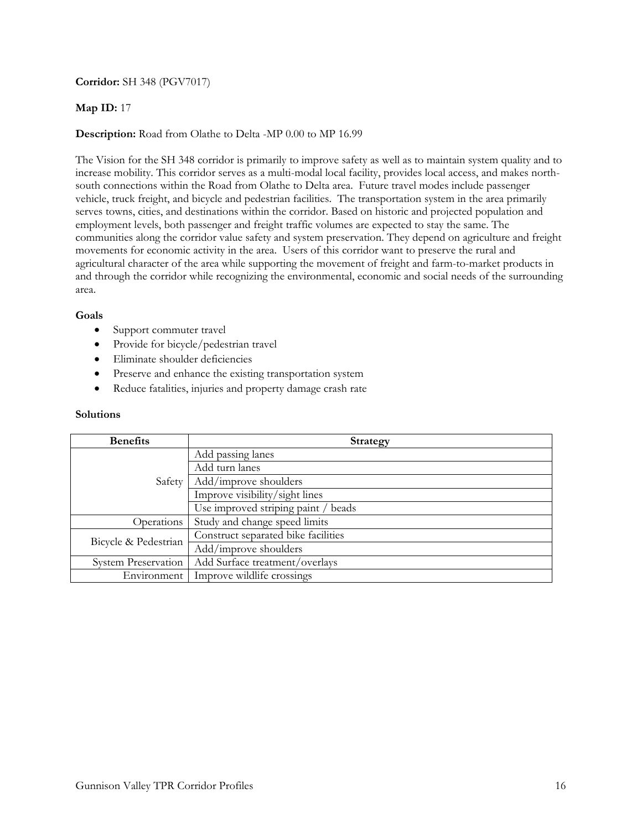# **Corridor:** SH 348 (PGV7017)

## **Map ID:** 17

### **Description:** Road from Olathe to Delta -MP 0.00 to MP 16.99

The Vision for the SH 348 corridor is primarily to improve safety as well as to maintain system quality and to increase mobility. This corridor serves as a multi-modal local facility, provides local access, and makes northsouth connections within the Road from Olathe to Delta area. Future travel modes include passenger vehicle, truck freight, and bicycle and pedestrian facilities. The transportation system in the area primarily serves towns, cities, and destinations within the corridor. Based on historic and projected population and employment levels, both passenger and freight traffic volumes are expected to stay the same. The communities along the corridor value safety and system preservation. They depend on agriculture and freight movements for economic activity in the area. Users of this corridor want to preserve the rural and agricultural character of the area while supporting the movement of freight and farm-to-market products in and through the corridor while recognizing the environmental, economic and social needs of the surrounding area.

### **Goals**

- Support commuter travel
- Provide for bicycle/pedestrian travel
- Eliminate shoulder deficiencies
- Preserve and enhance the existing transportation system
- Reduce fatalities, injuries and property damage crash rate

| <b>Benefits</b>            | <b>Strategy</b>                     |
|----------------------------|-------------------------------------|
| Safety                     | Add passing lanes                   |
|                            | Add turn lanes                      |
|                            | Add/improve shoulders               |
|                            | Improve visibility/sight lines      |
|                            | Use improved striping paint / beads |
| Operations                 | Study and change speed limits       |
| Bicycle & Pedestrian       | Construct separated bike facilities |
|                            | Add/improve shoulders               |
| <b>System Preservation</b> | Add Surface treatment/overlays      |
| Environment                | Improve wildlife crossings          |